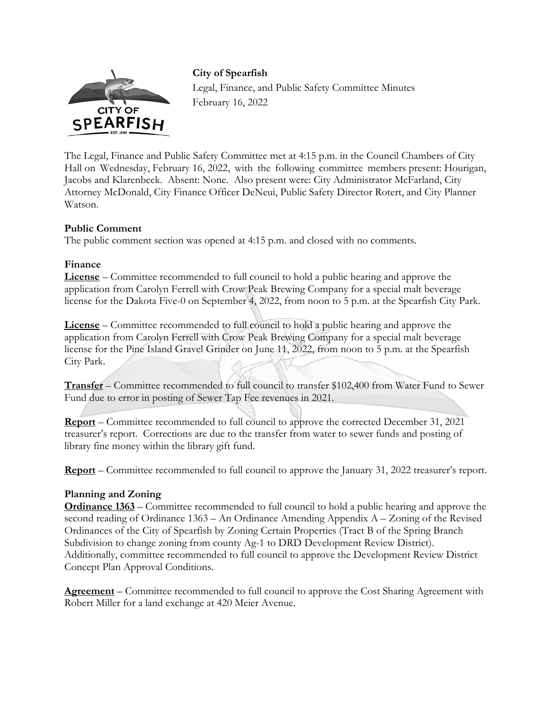

**City of Spearfish**  Legal, Finance, and Public Safety Committee Minutes February 16, 2022

The Legal, Finance and Public Safety Committee met at 4:15 p.m. in the Council Chambers of City Hall on Wednesday, February 16, 2022, with the following committee members present: Hourigan, Jacobs and Klarenbeek. Absent: None. Also present were: City Administrator McFarland, City Attorney McDonald, City Finance Officer DeNeui, Public Safety Director Rotert, and City Planner Watson.

## **Public Comment**

The public comment section was opened at 4:15 p.m. and closed with no comments.

## **Finance**

**License** – Committee recommended to full council to hold a public hearing and approve the application from Carolyn Ferrell with Crow Peak Brewing Company for a special malt beverage license for the Dakota Five-0 on September 4, 2022, from noon to 5 p.m. at the Spearfish City Park.

**License** – Committee recommended to full council to hold a public hearing and approve the application from Carolyn Ferrell with Crow Peak Brewing Company for a special malt beverage license for the Pine Island Gravel Grinder on June 11, 2022, from noon to 5 p.m. at the Spearfish City Park.

**Transfer** – Committee recommended to full council to transfer \$102,400 from Water Fund to Sewer Fund due to error in posting of Sewer Tap Fee revenues in 2021.

**Report** – Committee recommended to full council to approve the corrected December 31, 2021 treasurer's report. Corrections are due to the transfer from water to sewer funds and posting of library fine money within the library gift fund.

**Report** – Committee recommended to full council to approve the January 31, 2022 treasurer's report.

## **Planning and Zoning**

**Ordinance 1363** – Committee recommended to full council to hold a public hearing and approve the second reading of Ordinance 1363 – An Ordinance Amending Appendix A – Zoning of the Revised Ordinances of the City of Spearfish by Zoning Certain Properties (Tract B of the Spring Branch Subdivision to change zoning from county Ag-1 to DRD Development Review District). Additionally, committee recommended to full council to approve the Development Review District Concept Plan Approval Conditions.

**Agreement** – Committee recommended to full council to approve the Cost Sharing Agreement with Robert Miller for a land exchange at 420 Meier Avenue.